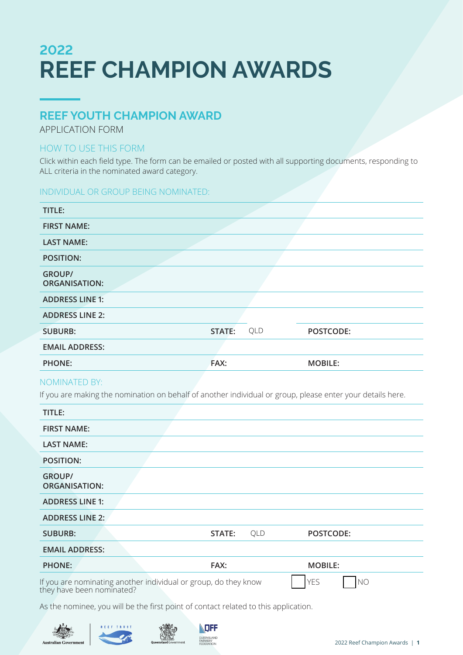# **2022 REEF CHAMPION AWARDS**

### **REEF YOUTH CHAMPION AWARD**

APPLICATION FORM

### HOW TO USE THIS FORM

Click within each field type. The form can be emailed or posted with all supporting documents, responding to ALL criteria in the nominated award category.

### INDIVIDUAL OR GROUP BEING NOMINATED:

| TITLE:                                |        |     |                |
|---------------------------------------|--------|-----|----------------|
| <b>FIRST NAME:</b>                    |        |     |                |
| <b>LAST NAME:</b>                     |        |     |                |
| <b>POSITION:</b>                      |        |     |                |
| <b>GROUP/</b><br><b>ORGANISATION:</b> |        |     |                |
| <b>ADDRESS LINE 1:</b>                |        |     |                |
| <b>ADDRESS LINE 2:</b>                |        |     |                |
| <b>SUBURB:</b>                        | STATE: | QLD | POSTCODE:      |
| <b>EMAIL ADDRESS:</b>                 |        |     |                |
| <b>PHONE:</b>                         | FAX:   |     | <b>MOBILE:</b> |

### NOMINATED BY:

If you are making the nomination on behalf of another individual or group, please enter your details here.

| TITLE:                                |                                                                                              |     |                              |
|---------------------------------------|----------------------------------------------------------------------------------------------|-----|------------------------------|
| <b>FIRST NAME:</b>                    |                                                                                              |     |                              |
| <b>LAST NAME:</b>                     |                                                                                              |     |                              |
| <b>POSITION:</b>                      |                                                                                              |     |                              |
| <b>GROUP/</b><br><b>ORGANISATION:</b> |                                                                                              |     |                              |
| <b>ADDRESS LINE 1:</b>                |                                                                                              |     |                              |
| <b>ADDRESS LINE 2:</b>                |                                                                                              |     |                              |
| <b>SUBURB:</b>                        | STATE:                                                                                       | QLD | POSTCODE:                    |
| <b>EMAIL ADDRESS:</b>                 |                                                                                              |     |                              |
| <b>PHONE:</b>                         | FAX:                                                                                         |     | <b>MOBILE:</b>               |
|                                       | If you are nominating another individual or group, do they know<br>they have been nominated? |     | <b>YES</b><br>N <sub>O</sub> |

As the nominee, you will be the first point of contact related to this application.





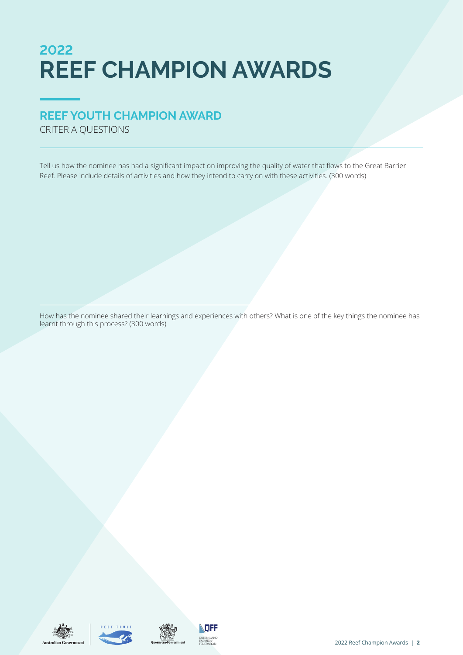# **2022 REEF CHAMPION AWARDS**

## **REEF YOUTH CHAMPION AWARD**

CRITERIA QUESTIONS

Tell us how the nominee has had a significant impact on improving the quality of water that flows to the Great Barrier Reef. Please include details of activities and how they intend to carry on with these activities. (300 words)

How has the nominee shared their learnings and experiences with others? What is one of the key things the nominee has learnt through this process? (300 words)







QUEENSLAND<br>FARMERS'<br>FEDERATION